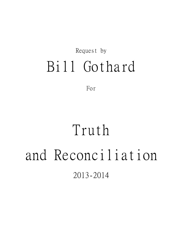## Request by Bill Gothard

For

# Truth and Reconciliation 2013-2014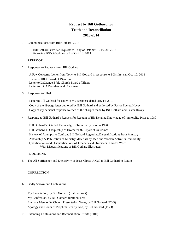### **Request by Bill Gothard for Truth and Reconciliation 2013-2014**

1 Communications from Bill Gothard, 2013

Bill Gothard's written requests to Tony of October 10, 16, 30, 2013 following BG's telephone call of Oct. 10, 2013

#### **REPROOF**

2 Responses to Requests from Bill Gothard

A Few Concerns, Letter from Tony to Bill Gothard in response to BG's first call Oct. 10, 2013

Letter to IBLP Board of Directors Letter to LaGrange Bible Church Board of Elders Letter to IFCA President and Chairman

3 Responses to Libel

Letter to Bill Gothard for cover to My Response dated Oct. 14, 2013 Copy of the 19 page letter authored by Bill Gothard and endorsed by Pastor Everett Hovey Copy of my personal response to each of the charges made by Bill Gothard and Pastor Hovey

4 Response to Bill Gothard's Request for Recount of His Detailed Knowledge of Immorality Prior to 1980

Bill Gothard's Detailed Knowledge of Immorality Prior to 1980 Bill Gothard's Discipleship of Brother with Report of Outcomes History of Attempts to Confront Bill Gothard Regarding Disqualifications from Ministry Authorship & Publication of Ministry Materials by Men and Women Active in Immorality Qualifications and Disqualifications of Teachers and Overseers in God's Word With Disqualifications of Bill Gothard Illustrated

#### **DOCTRINE**

5 The All Sufficiency and Exclusivity of Jesus Christ, A Call to Bill Gothard to Return

#### **CORRECTION**

6 Godly Sorrow and Confessions

My Recantation, by Bill Gothard (draft not sent) My Confession, by Bill Gothard (draft not sent) Emmaus Mennonite Church Presentation Notes, by Bill Gothard (TBD) Apology and Honor of Prophets Sent by God, by Bill Gothard (TBD)

7 Extending Confessions and Reconciliation Efforts (TBD)